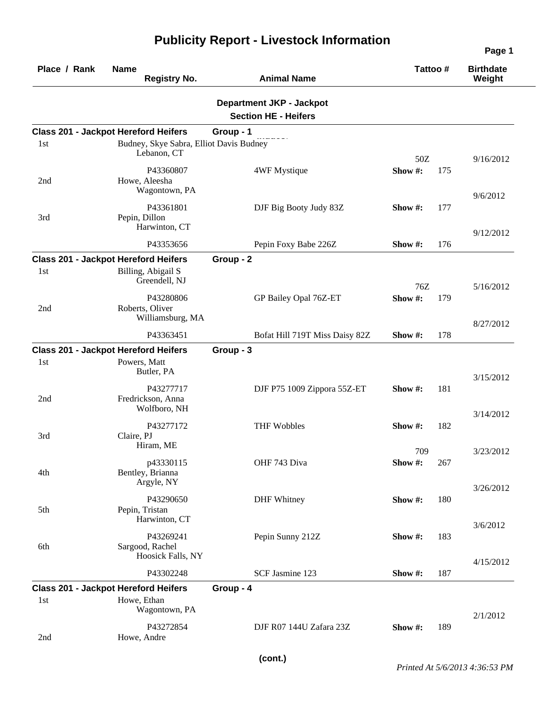| Place / Rank | <b>Name</b><br><b>Registry No.</b>                                        | <b>Animal Name</b>                                             | Tattoo#               | <b>Birthdate</b><br>Weight |
|--------------|---------------------------------------------------------------------------|----------------------------------------------------------------|-----------------------|----------------------------|
|              |                                                                           | <b>Department JKP - Jackpot</b><br><b>Section HE - Heifers</b> |                       |                            |
|              | <b>Class 201 - Jackpot Hereford Heifers</b>                               | Group - 1                                                      |                       |                            |
| 1st          | Budney, Skye Sabra, Elliot Davis Budney<br>Lebanon, CT                    |                                                                | 50Z                   | 9/16/2012                  |
| 2nd          | P43360807<br>Howe, Aleesha<br>Wagontown, PA                               | 4WF Mystique                                                   | Show#:<br>175         | 9/6/2012                   |
| 3rd          | P43361801<br>Pepin, Dillon<br>Harwinton, CT                               | DJF Big Booty Judy 83Z                                         | Show #:<br>177        | 9/12/2012                  |
|              | P43353656                                                                 | Pepin Foxy Babe 226Z                                           | Show #:<br>176        |                            |
|              | <b>Class 201 - Jackpot Hereford Heifers</b>                               | Group - 2                                                      |                       |                            |
| 1st          | Billing, Abigail S<br>Greendell, NJ                                       |                                                                | 76Z                   | 5/16/2012                  |
| 2nd          | P43280806<br>Roberts, Oliver<br>Williamsburg, MA                          | GP Bailey Opal 76Z-ET                                          | Show#:<br>179         |                            |
|              | P43363451                                                                 |                                                                | Show #:<br>178        | 8/27/2012                  |
|              |                                                                           | Bofat Hill 719T Miss Daisy 82Z                                 |                       |                            |
| 1st          | <b>Class 201 - Jackpot Hereford Heifers</b><br>Powers, Matt<br>Butler, PA | Group - 3                                                      |                       |                            |
| 2nd          | P43277717<br>Fredrickson, Anna<br>Wolfboro, NH                            | DJF P75 1009 Zippora 55Z-ET                                    | 181<br>Show #:        | 3/15/2012<br>3/14/2012     |
| 3rd          | P43277172<br>Claire, PJ<br>Hiram, ME                                      | <b>THF Wobbles</b>                                             | Show #:<br>182<br>709 |                            |
| 4th          | p43330115<br>Bentley, Brianna<br>Argyle, NY                               | OHF 743 Diva                                                   | Show#:<br>267         | 3/23/2012                  |
| 5th          | P43290650<br>Pepin, Tristan<br>Harwinton, CT                              | <b>DHF</b> Whitney                                             | Show#:<br>180         | 3/26/2012                  |
| 6th          | P43269241<br>Sargood, Rachel<br>Hoosick Falls, NY                         | Pepin Sunny 212Z                                               | Show #:<br>183        | 3/6/2012                   |
|              | P43302248                                                                 | SCF Jasmine 123                                                | Show #:<br>187        | 4/15/2012                  |
|              | <b>Class 201 - Jackpot Hereford Heifers</b>                               | Group - 4                                                      |                       |                            |
| 1st          | Howe, Ethan<br>Wagontown, PA                                              |                                                                |                       | 2/1/2012                   |
| 2nd          | P43272854<br>Howe, Andre                                                  | DJF R07 144U Zafara 23Z                                        | 189<br>Show #:        |                            |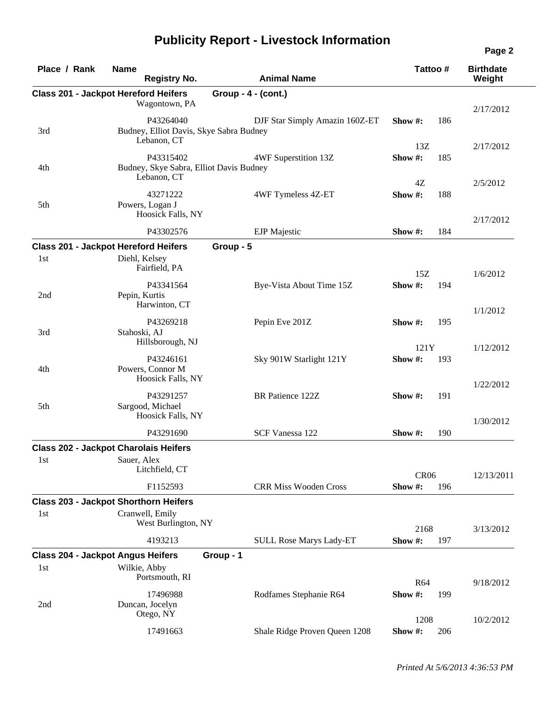| Place / Rank | <b>Name</b><br><b>Registry No.</b>                           | <b>Animal Name</b>             | Tattoo #          | <b>Birthdate</b><br>Weight |
|--------------|--------------------------------------------------------------|--------------------------------|-------------------|----------------------------|
|              |                                                              |                                |                   |                            |
|              | <b>Class 201 - Jackpot Hereford Heifers</b><br>Wagontown, PA | Group - $4 - (cont.)$          |                   |                            |
|              |                                                              |                                |                   | 2/17/2012                  |
|              | P43264040                                                    | DJF Star Simply Amazin 160Z-ET | 186<br>Show $#$ : |                            |
| 3rd          | Budney, Elliot Davis, Skye Sabra Budney<br>Lebanon, CT       |                                |                   |                            |
|              |                                                              |                                | 13Z               | 2/17/2012                  |
| 4th          | P43315402<br>Budney, Skye Sabra, Elliot Davis Budney         | 4WF Superstition 13Z           | Show#:<br>185     |                            |
|              | Lebanon, CT                                                  |                                |                   |                            |
|              |                                                              |                                | 4Z                | 2/5/2012                   |
| 5th          | 43271222<br>Powers, Logan J                                  | 4WF Tymeless 4Z-ET             | Show#:<br>188     |                            |
|              | Hoosick Falls, NY                                            |                                |                   |                            |
|              |                                                              |                                |                   | 2/17/2012                  |
|              | P43302576                                                    | <b>EJP</b> Majestic            | 184<br>Show #:    |                            |
|              | <b>Class 201 - Jackpot Hereford Heifers</b>                  | Group - 5                      |                   |                            |
| 1st          | Diehl, Kelsey                                                |                                |                   |                            |
|              | Fairfield, PA                                                |                                | 15Z               | 1/6/2012                   |
|              | P43341564                                                    | Bye-Vista About Time 15Z       | Show#:<br>194     |                            |
| 2nd          | Pepin, Kurtis                                                |                                |                   |                            |
|              | Harwinton, CT                                                |                                |                   | 1/1/2012                   |
|              | P43269218                                                    | Pepin Eve 201Z                 | Show #:<br>195    |                            |
| 3rd          | Stahoski, AJ                                                 |                                |                   |                            |
|              | Hillsborough, NJ                                             |                                | 121Y              | 1/12/2012                  |
|              | P43246161                                                    | Sky 901W Starlight 121Y        | Show #:<br>193    |                            |
| 4th          | Powers, Connor M                                             |                                |                   |                            |
|              | Hoosick Falls, NY                                            |                                |                   | 1/22/2012                  |
|              | P43291257                                                    | BR Patience 122Z               | 191<br>Show #:    |                            |
| 5th          | Sargood, Michael                                             |                                |                   |                            |
|              | Hoosick Falls, NY                                            |                                |                   | 1/30/2012                  |
|              | P43291690                                                    | SCF Vanessa 122                | Show #:<br>190    |                            |
|              | <b>Class 202 - Jackpot Charolais Heifers</b>                 |                                |                   |                            |
| 1st          | Sauer, Alex                                                  |                                |                   |                            |
|              | Litchfield, CT                                               |                                |                   |                            |
|              |                                                              |                                | <b>CR06</b>       | 12/13/2011                 |
|              | F1152593                                                     | <b>CRR Miss Wooden Cross</b>   | Show #:<br>196    |                            |
|              | <b>Class 203 - Jackpot Shorthorn Heifers</b>                 |                                |                   |                            |
| 1st          | Cranwell, Emily                                              |                                |                   |                            |
|              | West Burlington, NY                                          |                                | 2168              | 3/13/2012                  |
|              | 4193213                                                      | <b>SULL Rose Marys Lady-ET</b> | Show #:<br>197    |                            |
|              | <b>Class 204 - Jackpot Angus Heifers</b>                     | Group - 1                      |                   |                            |
| 1st          | Wilkie, Abby                                                 |                                |                   |                            |
|              | Portsmouth, RI                                               |                                | R64               | 9/18/2012                  |
|              | 17496988                                                     | Rodfames Stephanie R64         | Show #:<br>199    |                            |
| 2nd          | Duncan, Jocelyn                                              |                                |                   |                            |
|              | Otego, NY                                                    |                                | 1208              | 10/2/2012                  |
|              | 17491663                                                     | Shale Ridge Proven Queen 1208  | Show #:<br>206    |                            |
|              |                                                              |                                |                   |                            |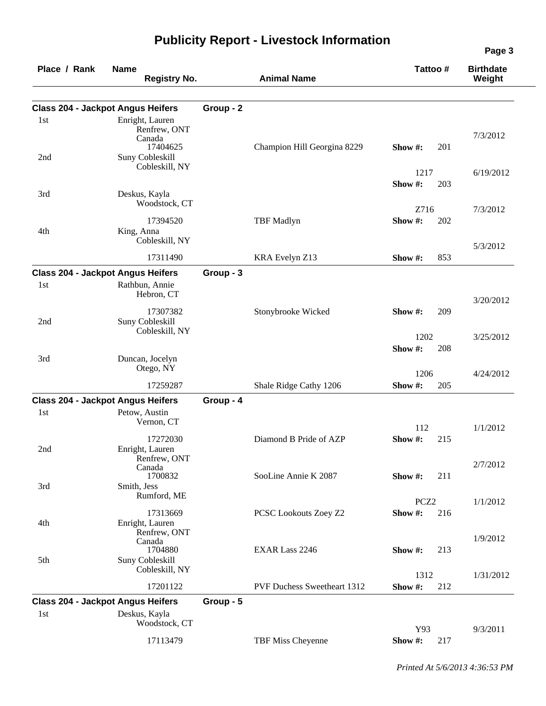| Place / Rank | <b>Name</b><br><b>Registry No.</b>                        |           | <b>Animal Name</b>                 | Tattoo #         |     | <b>Birthdate</b><br>Weight |
|--------------|-----------------------------------------------------------|-----------|------------------------------------|------------------|-----|----------------------------|
|              | <b>Class 204 - Jackpot Angus Heifers</b>                  | Group - 2 |                                    |                  |     |                            |
| 1st          | Enright, Lauren<br>Renfrew, ONT<br>Canada                 |           |                                    |                  |     | 7/3/2012                   |
| 2nd          | 17404625<br><b>Suny Cobleskill</b><br>Cobleskill, NY      |           | Champion Hill Georgina 8229        | Show#:<br>1217   | 201 | 6/19/2012                  |
|              |                                                           |           |                                    | Show#:           | 203 |                            |
| 3rd          | Deskus, Kayla<br>Woodstock, CT                            |           |                                    | Z716             |     | 7/3/2012                   |
| 4th          | 17394520<br>King, Anna<br>Cobleskill, NY                  |           | <b>TBF</b> Madlyn                  | Show#:           | 202 | 5/3/2012                   |
|              | 17311490                                                  |           | KRA Evelyn Z13                     | Show $#$ :       | 853 |                            |
|              | <b>Class 204 - Jackpot Angus Heifers</b>                  | Group - 3 |                                    |                  |     |                            |
| 1st          | Rathbun, Annie<br>Hebron, CT                              |           |                                    |                  |     | 3/20/2012                  |
| 2nd          | 17307382<br>Suny Cobleskill<br>Cobleskill, NY             |           | Stonybrooke Wicked                 | Show $\#$ :      | 209 |                            |
| 3rd          | Duncan, Jocelyn                                           |           |                                    | 1202<br>Show#:   | 208 | 3/25/2012                  |
|              | Otego, NY                                                 |           |                                    | 1206             |     | 4/24/2012                  |
|              | 17259287                                                  |           | Shale Ridge Cathy 1206             | Show #:          | 205 |                            |
|              | <b>Class 204 - Jackpot Angus Heifers</b>                  | Group - 4 |                                    |                  |     |                            |
| 1st          | Petow, Austin<br>Vernon, CT                               |           |                                    | 112              |     | 1/1/2012                   |
| 2nd          | 17272030<br>Enright, Lauren<br>Renfrew, ONT               |           | Diamond B Pride of AZP             | Show#:           | 215 |                            |
| 3rd          | Canada<br>1700832<br>Smith, Jess                          |           | SooLine Annie K 2087               | Show $#$ :       | 211 | 2/7/2012                   |
|              | Rumford, ME                                               |           |                                    | PCZ <sub>2</sub> |     | 1/1/2012                   |
| 4th          | 17313669<br>Enright, Lauren                               |           | PCSC Lookouts Zoey Z2              | Show #:          | 216 |                            |
| 5th          | Renfrew, ONT<br>Canada<br>1704880<br>Suny Cobleskill      |           | <b>EXAR Lass 2246</b>              | Show #:          | 213 | 1/9/2012                   |
|              | Cobleskill, NY                                            |           |                                    | 1312             |     | 1/31/2012                  |
|              | 17201122                                                  |           | <b>PVF Duchess Sweetheart 1312</b> | Show#:           | 212 |                            |
| 1st          | <b>Class 204 - Jackpot Angus Heifers</b><br>Deskus, Kayla | Group - 5 |                                    |                  |     |                            |
|              | Woodstock, CT<br>17113479                                 |           | TBF Miss Cheyenne                  | Y93<br>Show #:   | 217 | 9/3/2011                   |
|              |                                                           |           |                                    |                  |     |                            |

*Printed At 5/6/2013 4:36:53 PM*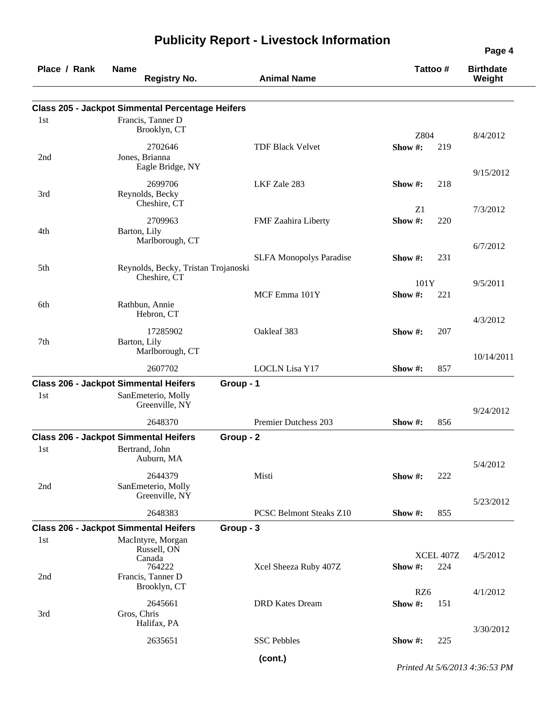| Place / Rank | <b>Name</b><br><b>Registry No.</b>                      | <b>Animal Name</b>             | Tattoo #                           | <b>Birthdate</b><br>Weight |
|--------------|---------------------------------------------------------|--------------------------------|------------------------------------|----------------------------|
|              | <b>Class 205 - Jackpot Simmental Percentage Heifers</b> |                                |                                    |                            |
| 1st          | Francis, Tanner D<br>Brooklyn, CT                       |                                | Z804                               | 8/4/2012                   |
| 2nd          | 2702646<br>Jones, Brianna<br>Eagle Bridge, NY           | <b>TDF Black Velvet</b>        | Show #:<br>219                     | 9/15/2012                  |
| 3rd          | 2699706<br>Reynolds, Becky<br>Cheshire, CT              | LKF Zale 283                   | 218<br>Show $\#$ :<br>Z1           |                            |
| 4th          | 2709963<br>Barton, Lily<br>Marlborough, CT              | FMF Zaahira Liberty            | Show #:<br>220                     | 7/3/2012                   |
| 5th          | Reynolds, Becky, Tristan Trojanoski                     | <b>SLFA Monopolys Paradise</b> | 231<br>Show $#$ :                  | 6/7/2012                   |
| 6th          | Cheshire, CT<br>Rathbun, Annie                          | MCF Emma 101Y                  | 101Y<br>Show#:<br>221              | 9/5/2011                   |
| 7th          | Hebron, CT<br>17285902<br>Barton, Lily                  | Oakleaf 383                    | Show #:<br>207                     | 4/3/2012                   |
|              | Marlborough, CT<br>2607702                              | <b>LOCLN</b> Lisa Y17          | 857<br>Show#:                      | 10/14/2011                 |
|              | <b>Class 206 - Jackpot Simmental Heifers</b>            | Group - 1                      |                                    |                            |
| 1st          | SanEmeterio, Molly<br>Greenville, NY                    |                                |                                    | 9/24/2012                  |
|              | 2648370                                                 | Premier Dutchess 203           | 856<br>Show $#$ :                  |                            |
|              | <b>Class 206 - Jackpot Simmental Heifers</b>            | Group - 2                      |                                    |                            |
| 1st          | Bertrand, John<br>Auburn, MA                            |                                |                                    | 5/4/2012                   |
| 2nd          | 2644379<br>SanEmeterio, Molly<br>Greenville, NY         | Misti                          | Show#:<br>222                      |                            |
|              | 2648383                                                 | <b>PCSC Belmont Steaks Z10</b> | Show #:<br>855                     | 5/23/2012                  |
|              | <b>Class 206 - Jackpot Simmental Heifers</b>            | Group - 3                      |                                    |                            |
| 1st          | MacIntyre, Morgan<br>Russell, ON<br>Canada<br>764222    | Xcel Sheeza Ruby 407Z          | <b>XCEL 407Z</b><br>224<br>Show #: | 4/5/2012                   |
| 2nd          | Francis, Tanner D<br>Brooklyn, CT                       |                                | RZ6                                | 4/1/2012                   |
| 3rd          | 2645661<br>Gros, Chris<br>Halifax, PA                   | <b>DRD</b> Kates Dream         | Show #:<br>151                     | 3/30/2012                  |
|              | 2635651                                                 | <b>SSC Pebbles</b>             | 225<br>Show $#$ :                  |                            |
|              |                                                         | (cont.)                        |                                    |                            |

*Printed At 5/6/2013 4:36:53 PM*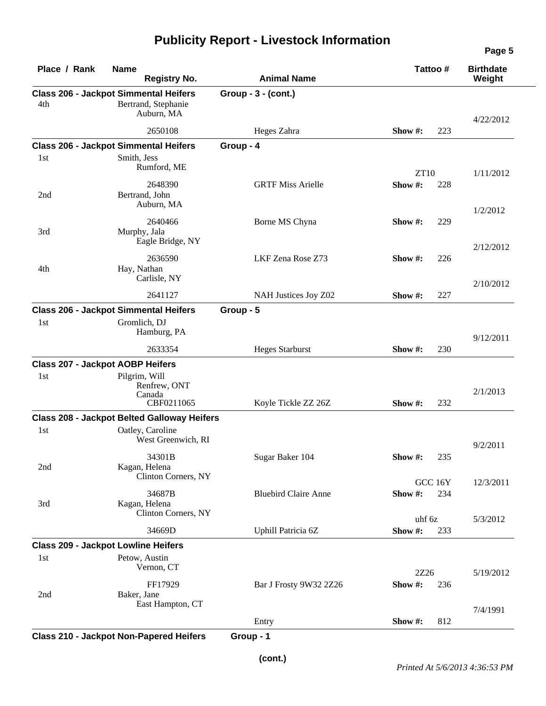| Place / Rank | <b>Name</b><br><b>Registry No.</b>                                                | <b>Animal Name</b>          | Tattoo #                 | <b>Birthdate</b><br>Weight |
|--------------|-----------------------------------------------------------------------------------|-----------------------------|--------------------------|----------------------------|
| 4th          | <b>Class 206 - Jackpot Simmental Heifers</b><br>Bertrand, Stephanie<br>Auburn, MA | Group - 3 - (cont.)         |                          | 4/22/2012                  |
|              | 2650108                                                                           | Heges Zahra                 | Show #:<br>223           |                            |
|              | <b>Class 206 - Jackpot Simmental Heifers</b>                                      | Group - 4                   |                          |                            |
| 1st          | Smith, Jess<br>Rumford, ME                                                        |                             | <b>ZT10</b>              | 1/11/2012                  |
| 2nd          | 2648390<br>Bertrand, John<br>Auburn, MA                                           | <b>GRTF Miss Arielle</b>    | Show#:<br>228            | 1/2/2012                   |
| 3rd          | 2640466<br>Murphy, Jala<br>Eagle Bridge, NY                                       | Borne MS Chyna              | Show $#$ :<br>229        |                            |
| 4th          | 2636590<br>Hay, Nathan<br>Carlisle, NY                                            | LKF Zena Rose Z73           | Show #:<br>226           | 2/12/2012                  |
|              | 2641127                                                                           | NAH Justices Joy Z02        | Show #:<br>227           | 2/10/2012                  |
|              | <b>Class 206 - Jackpot Simmental Heifers</b>                                      | Group - 5                   |                          |                            |
| 1st          | Gromlich, DJ<br>Hamburg, PA                                                       |                             |                          | 9/12/2011                  |
|              | 2633354                                                                           | <b>Heges Starburst</b>      | Show #:<br>230           |                            |
|              | <b>Class 207 - Jackpot AOBP Heifers</b>                                           |                             |                          |                            |
| 1st          | Pilgrim, Will<br>Renfrew, ONT<br>Canada<br>CBF0211065                             |                             |                          | 2/1/2013                   |
|              | <b>Class 208 - Jackpot Belted Galloway Heifers</b>                                | Koyle Tickle ZZ 26Z         | Show #:<br>232           |                            |
| 1st          | Oatley, Caroline<br>West Greenwich, RI                                            |                             |                          | 9/2/2011                   |
| 2nd          | 34301B<br>Kagan, Helena<br>Clinton Corners, NY                                    | Sugar Baker 104             | Show $\#$ :<br>235       |                            |
| 3rd          | 34687B<br>Kagan, Helena<br>Clinton Corners, NY                                    | <b>Bluebird Claire Anne</b> | GCC 16Y<br>Show#:<br>234 | 12/3/2011                  |
|              | 34669D                                                                            | Uphill Patricia 6Z          | uhf 6z<br>Show#:<br>233  | 5/3/2012                   |
|              | <b>Class 209 - Jackpot Lowline Heifers</b>                                        |                             |                          |                            |
| 1st          | Petow, Austin<br>Vernon, CT                                                       |                             | 2Z26                     | 5/19/2012                  |
| 2nd          | FF17929<br>Baker, Jane<br>East Hampton, CT                                        | Bar J Frosty 9W32 2Z26      | Show #:<br>236           |                            |
|              |                                                                                   | Entry                       | Show #:<br>812           | 7/4/1991                   |
|              |                                                                                   |                             |                          |                            |

**Class 210 - Jackpot Non-Papered Heifers Group - 1**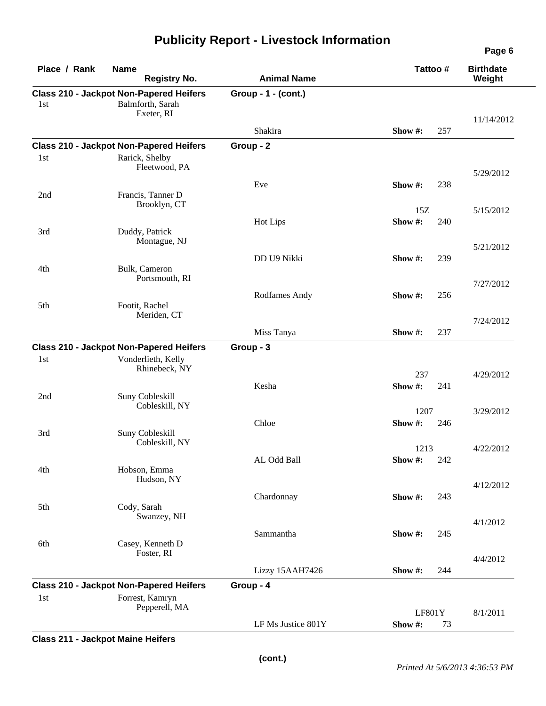| Place / Rank | <b>Name</b><br><b>Registry No.</b>                                                 | <b>Animal Name</b>  | Tattoo #               | <b>Birthdate</b><br>Weight |
|--------------|------------------------------------------------------------------------------------|---------------------|------------------------|----------------------------|
| 1st          | <b>Class 210 - Jackpot Non-Papered Heifers</b><br>Balmforth, Sarah<br>Exeter, RI   | Group - 1 - (cont.) |                        |                            |
|              |                                                                                    | Shakira             | 257<br>Show $#$ :      | 11/14/2012                 |
|              | <b>Class 210 - Jackpot Non-Papered Heifers</b>                                     | Group - 2           |                        |                            |
| 1st          | Rarick, Shelby<br>Fleetwood, PA                                                    |                     |                        | 5/29/2012                  |
| 2nd          | Francis, Tanner D                                                                  | Eve                 | Show #:<br>238         |                            |
|              | Brooklyn, CT                                                                       |                     | 15Z                    | 5/15/2012                  |
| 3rd          | Duddy, Patrick<br>Montague, NJ                                                     | Hot Lips            | Show#:<br>240          |                            |
|              |                                                                                    |                     |                        | 5/21/2012                  |
| 4th          | Bulk, Cameron<br>Portsmouth, RI                                                    | DD U9 Nikki         | 239<br>Show #:         |                            |
|              |                                                                                    | Rodfames Andy       | Show #:<br>256         | 7/27/2012                  |
| 5th          | Footit, Rachel<br>Meriden, CT                                                      |                     |                        | 7/24/2012                  |
|              |                                                                                    | Miss Tanya          | 237<br>Show #:         |                            |
|              | <b>Class 210 - Jackpot Non-Papered Heifers</b>                                     | Group - 3           |                        |                            |
| 1st          | Vonderlieth, Kelly<br>Rhinebeck, NY                                                |                     | 237                    | 4/29/2012                  |
| 2nd          | Suny Cobleskill<br>Cobleskill, NY                                                  | Kesha               | Show#:<br>241          |                            |
|              |                                                                                    | Chloe               | 1207<br>Show#:         | 3/29/2012                  |
| 3rd          | Suny Cobleskill<br>Cobleskill, NY                                                  |                     | 246<br>1213            | 4/22/2012                  |
|              |                                                                                    | AL Odd Ball         | <b>Show #:</b> 242     |                            |
| 4th          | Hobson, Emma<br>Hudson, NY                                                         |                     |                        | 4/12/2012                  |
|              |                                                                                    | Chardonnay          | 243<br>Show #:         |                            |
| 5th          | Cody, Sarah<br>Swanzey, NH                                                         |                     |                        | 4/1/2012                   |
| 6th          | Casey, Kenneth D<br>Foster, RI                                                     | Sammantha           | 245<br>Show #:         |                            |
|              |                                                                                    |                     |                        | 4/4/2012                   |
|              |                                                                                    | Lizzy 15AAH7426     | Show #:<br>244         |                            |
| 1st          | <b>Class 210 - Jackpot Non-Papered Heifers</b><br>Forrest, Kamryn<br>Pepperell, MA | Group - 4           |                        |                            |
|              |                                                                                    | LF Ms Justice 801Y  | LF801Y<br>Show#:<br>73 | 8/1/2011                   |
|              |                                                                                    |                     |                        |                            |

**Class 211 - Jackpot Maine Heifers**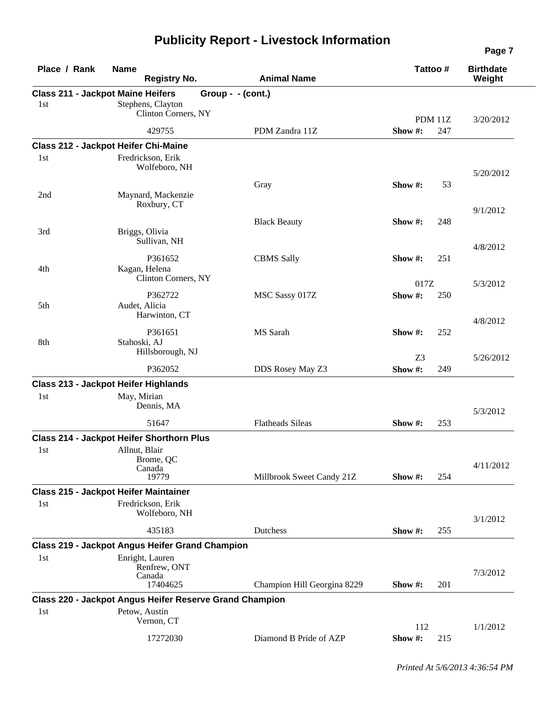| Place / Rank | <b>Name</b><br><b>Registry No.</b>                                                   |                   | <b>Animal Name</b>          | Tattoo #       |         | <b>Birthdate</b><br>Weight |
|--------------|--------------------------------------------------------------------------------------|-------------------|-----------------------------|----------------|---------|----------------------------|
| 1st          | <b>Class 211 - Jackpot Maine Heifers</b><br>Stephens, Clayton<br>Clinton Corners, NY | Group - - (cont.) |                             |                | PDM 11Z | 3/20/2012                  |
|              | 429755                                                                               |                   | PDM Zandra 11Z              | Show#:         | 247     |                            |
|              | Class 212 - Jackpot Heifer Chi-Maine                                                 |                   |                             |                |         |                            |
| 1st          | Fredrickson, Erik<br>Wolfeboro, NH                                                   |                   |                             |                |         | 5/20/2012                  |
| 2nd          | Maynard, Mackenzie                                                                   |                   | Gray                        | Show $#$ :     | 53      |                            |
|              | Roxbury, CT                                                                          |                   |                             |                |         | 9/1/2012                   |
| 3rd          | Briggs, Olivia<br>Sullivan, NH                                                       |                   | <b>Black Beauty</b>         | Show $#$ :     | 248     |                            |
|              | P361652                                                                              |                   |                             |                |         | 4/8/2012                   |
| 4th          | Kagan, Helena<br>Clinton Corners, NY                                                 |                   | <b>CBMS Sally</b>           | Show $\#$ :    | 251     |                            |
|              | P362722                                                                              |                   |                             | 017Z<br>Show#: |         | 5/3/2012                   |
| 5th          | Audet, Alicia<br>Harwinton, CT                                                       |                   | MSC Sassy 017Z              |                | 250     | 4/8/2012                   |
| 8th          | P361651<br>Stahoski, AJ                                                              |                   | MS Sarah                    | Show $\#$ :    | 252     |                            |
|              | Hillsborough, NJ                                                                     |                   |                             | Z <sub>3</sub> |         | 5/26/2012                  |
|              | P362052                                                                              |                   | DDS Rosey May Z3            | Show#:         | 249     |                            |
|              | <b>Class 213 - Jackpot Heifer Highlands</b>                                          |                   |                             |                |         |                            |
| 1st          | May, Mirian<br>Dennis, MA                                                            |                   |                             |                |         | 5/3/2012                   |
|              | 51647                                                                                |                   | <b>Flatheads Sileas</b>     | Show #:        | 253     |                            |
|              | Class 214 - Jackpot Heifer Shorthorn Plus                                            |                   |                             |                |         |                            |
| 1st          | Allnut, Blair<br>Brome, QC<br>Canada                                                 |                   |                             |                |         | 4/11/2012                  |
|              | 19779                                                                                |                   | Millbrook Sweet Candy 21Z   | Show $#$ :     | 254     |                            |
| 1st          | <b>Class 215 - Jackpot Heifer Maintainer</b><br>Fredrickson, Erik<br>Wolfeboro, NH   |                   |                             |                |         |                            |
|              | 435183                                                                               |                   | Dutchess                    | Show #:        | 255     | 3/1/2012                   |
|              | <b>Class 219 - Jackpot Angus Heifer Grand Champion</b>                               |                   |                             |                |         |                            |
| 1st          | Enright, Lauren                                                                      |                   |                             |                |         |                            |
|              | Renfrew, ONT<br>Canada<br>17404625                                                   |                   | Champion Hill Georgina 8229 | Show $#$ :     | 201     | 7/3/2012                   |
|              | <b>Class 220 - Jackpot Angus Heifer Reserve Grand Champion</b>                       |                   |                             |                |         |                            |
| 1st          | Petow, Austin<br>Vernon, CT                                                          |                   |                             | 112            |         | 1/1/2012                   |
|              | 17272030                                                                             |                   | Diamond B Pride of AZP      | Show #:        | 215     |                            |

*Printed At 5/6/2013 4:36:54 PM*